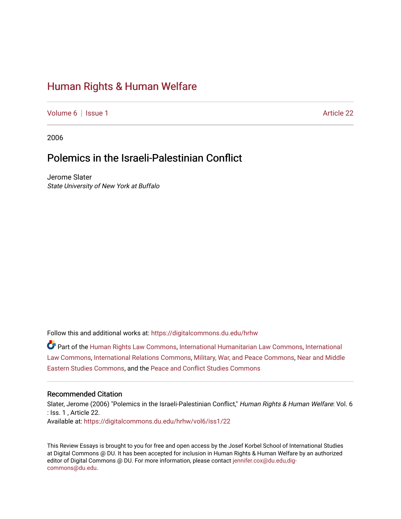# [Human Rights & Human Welfare](https://digitalcommons.du.edu/hrhw)

[Volume 6](https://digitalcommons.du.edu/hrhw/vol6) | [Issue 1](https://digitalcommons.du.edu/hrhw/vol6/iss1) Article 22

2006

# Polemics in the Israeli-Palestinian Conflict

Jerome Slater State University of New York at Buffalo

Follow this and additional works at: [https://digitalcommons.du.edu/hrhw](https://digitalcommons.du.edu/hrhw?utm_source=digitalcommons.du.edu%2Fhrhw%2Fvol6%2Fiss1%2F22&utm_medium=PDF&utm_campaign=PDFCoverPages)

Part of the [Human Rights Law Commons,](http://network.bepress.com/hgg/discipline/847?utm_source=digitalcommons.du.edu%2Fhrhw%2Fvol6%2Fiss1%2F22&utm_medium=PDF&utm_campaign=PDFCoverPages) [International Humanitarian Law Commons](http://network.bepress.com/hgg/discipline/1330?utm_source=digitalcommons.du.edu%2Fhrhw%2Fvol6%2Fiss1%2F22&utm_medium=PDF&utm_campaign=PDFCoverPages), [International](http://network.bepress.com/hgg/discipline/609?utm_source=digitalcommons.du.edu%2Fhrhw%2Fvol6%2Fiss1%2F22&utm_medium=PDF&utm_campaign=PDFCoverPages) [Law Commons,](http://network.bepress.com/hgg/discipline/609?utm_source=digitalcommons.du.edu%2Fhrhw%2Fvol6%2Fiss1%2F22&utm_medium=PDF&utm_campaign=PDFCoverPages) [International Relations Commons,](http://network.bepress.com/hgg/discipline/389?utm_source=digitalcommons.du.edu%2Fhrhw%2Fvol6%2Fiss1%2F22&utm_medium=PDF&utm_campaign=PDFCoverPages) [Military, War, and Peace Commons,](http://network.bepress.com/hgg/discipline/861?utm_source=digitalcommons.du.edu%2Fhrhw%2Fvol6%2Fiss1%2F22&utm_medium=PDF&utm_campaign=PDFCoverPages) [Near and Middle](http://network.bepress.com/hgg/discipline/1308?utm_source=digitalcommons.du.edu%2Fhrhw%2Fvol6%2Fiss1%2F22&utm_medium=PDF&utm_campaign=PDFCoverPages)  [Eastern Studies Commons](http://network.bepress.com/hgg/discipline/1308?utm_source=digitalcommons.du.edu%2Fhrhw%2Fvol6%2Fiss1%2F22&utm_medium=PDF&utm_campaign=PDFCoverPages), and the [Peace and Conflict Studies Commons](http://network.bepress.com/hgg/discipline/397?utm_source=digitalcommons.du.edu%2Fhrhw%2Fvol6%2Fiss1%2F22&utm_medium=PDF&utm_campaign=PDFCoverPages) 

#### Recommended Citation

Slater, Jerome (2006) "Polemics in the Israeli-Palestinian Conflict," Human Rights & Human Welfare: Vol. 6 : Iss. 1 , Article 22. Available at: [https://digitalcommons.du.edu/hrhw/vol6/iss1/22](https://digitalcommons.du.edu/hrhw/vol6/iss1/22?utm_source=digitalcommons.du.edu%2Fhrhw%2Fvol6%2Fiss1%2F22&utm_medium=PDF&utm_campaign=PDFCoverPages) 

This Review Essays is brought to you for free and open access by the Josef Korbel School of International Studies at Digital Commons @ DU. It has been accepted for inclusion in Human Rights & Human Welfare by an authorized editor of Digital Commons @ DU. For more information, please contact [jennifer.cox@du.edu,dig](mailto:jennifer.cox@du.edu,dig-commons@du.edu)[commons@du.edu.](mailto:jennifer.cox@du.edu,dig-commons@du.edu)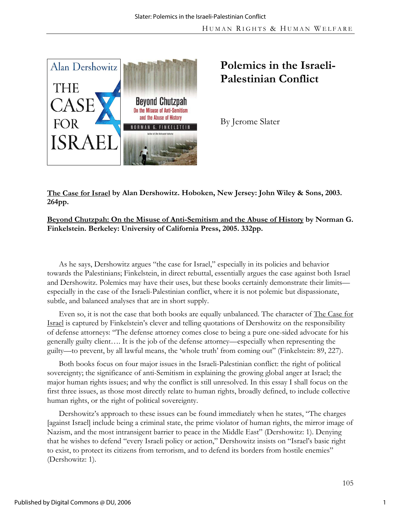

# **Polemics in the Israeli-Palestinian Conflict**

By Jerome Slater

**The Case for Israel by Alan Dershowitz. Hoboken, New Jersey: John Wiley & Sons, 2003. 264pp.** 

## **Beyond Chutzpah: On the Misuse of Anti-Semitism and the Abuse of History by Norman G. Finkelstein. Berkeley: University of California Press, 2005. 332pp.**

As he says, Dershowitz argues "the case for Israel," especially in its policies and behavior towards the Palestinians; Finkelstein, in direct rebuttal, essentially argues the case against both Israel and Dershowitz. Polemics may have their uses, but these books certainly demonstrate their limits especially in the case of the Israeli-Palestinian conflict, where it is not polemic but dispassionate, subtle, and balanced analyses that are in short supply.

Even so, it is not the case that both books are equally unbalanced. The character of The Case for Israel is captured by Finkelstein's clever and telling quotations of Dershowitz on the responsibility of defense attorneys: "The defense attorney comes close to being a pure one-sided advocate for his generally guilty client…. It is the job of the defense attorney—especially when representing the guilty—to prevent, by all lawful means, the 'whole truth' from coming out" (Finkelstein: 89, 227).

Both books focus on four major issues in the Israeli-Palestinian conflict: the right of political sovereignty; the significance of anti-Semitism in explaining the growing global anger at Israel; the major human rights issues; and why the conflict is still unresolved. In this essay I shall focus on the first three issues, as those most directly relate to human rights, broadly defined, to include collective human rights, or the right of political sovereignty.

Dershowitz's approach to these issues can be found immediately when he states, "The charges [against Israel] include being a criminal state, the prime violator of human rights, the mirror image of Nazism, and the most intransigent barrier to peace in the Middle East" (Dershowitz: 1). Denying that he wishes to defend "every Israeli policy or action," Dershowitz insists on "Israel's basic right to exist, to protect its citizens from terrorism, and to defend its borders from hostile enemies" (Dershowitz: 1).

1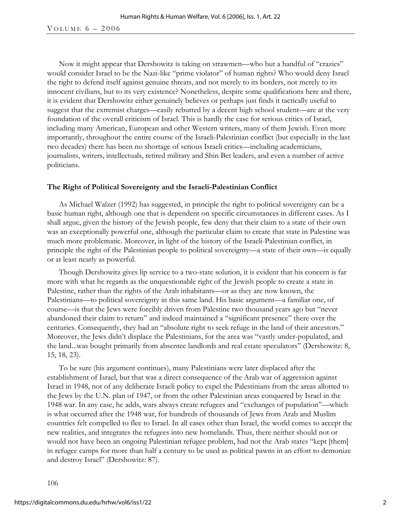VOLUME  $6 - 2006$ 

Now it might appear that Dershowitz is taking on strawmen—who but a handful of "crazies" would consider Israel to be the Nazi-like "prime violator" of human rights? Who would deny Israel the right to defend itself against genuine threats, and not merely to its borders, not merely to its innocent civilians, but to its very existence? Nonetheless, despite some qualifications here and there, it is evident that Dershowitz either genuinely believes or perhaps just finds it tactically useful to suggest that the extremist charges—easily rebutted by a decent high school student—are at the very foundation of the overall criticism of Israel. This is hardly the case for serious critics of Israel, including many American, European and other Western writers, many of them Jewish. Even more importantly, throughout the entire course of the Israeli-Palestinian conflict (but especially in the last two decades) there has been no shortage of serious Israeli critics—including academicians, journalists, writers, intellectuals, retired military and Shin Bet leaders, and even a number of active politicians.

### **The Right of Political Sovereignty and the Israeli-Palestinian Conflict**

As Michael Walzer (1992) has suggested, in principle the right to political sovereignty can be a basic human right, although one that is dependent on specific circumstances in different cases. As I shall argue, given the history of the Jewish people, few deny that their claim to a state of their own was an exceptionally powerful one, although the particular claim to create that state in Palestine was much more problematic. Moreover, in light of the history of the Israeli-Palestinian conflict, in principle the right of the Palestinian people to political sovereignty—a state of their own—is equally or at least nearly as powerful.

Though Dershowitz gives lip service to a two-state solution, it is evident that his concern is far more with what he regards as the unquestionable right of the Jewish people to create a state in Palestine, rather than the rights of the Arab inhabitants—or as they are now known, the Palestinians—to political sovereignty in this same land. His basic argument—a familiar one, of course—is that the Jews were forcibly driven from Palestine two thousand years ago but "never abandoned their claim to return" and indeed maintained a "significant presence" there over the centuries. Consequently, they had an "absolute right to seek refuge in the land of their ancestors." Moreover, the Jews didn't displace the Palestinians, for the area was "vastly under-populated, and the land...was bought primarily from absentee landlords and real estate speculators" (Dershowitz: 8, 15, 18, 23).

To be sure (his argument continues), many Palestinians were later displaced after the establishment of Israel, but that was a direct consequence of the Arab war of aggression against Israel in 1948, not of any deliberate Israeli policy to expel the Palestinians from the areas allotted to the Jews by the U.N. plan of 1947, or from the other Palestinian areas conquered by Israel in the 1948 war. In any case, he adds, wars always create refugees and "exchanges of population"—which is what occurred after the 1948 war, for hundreds of thousands of Jews from Arab and Muslim countries felt compelled to flee to Israel. In all cases other than Israel, the world comes to accept the new realities, and integrates the refugees into new homelands. Thus, there neither should not or would not have been an ongoing Palestinian refugee problem, had not the Arab states "kept [them] in refugee camps for more than half a century to be used as political pawns in an effort to demonize and destroy Israel" (Dershowitz: 87).

106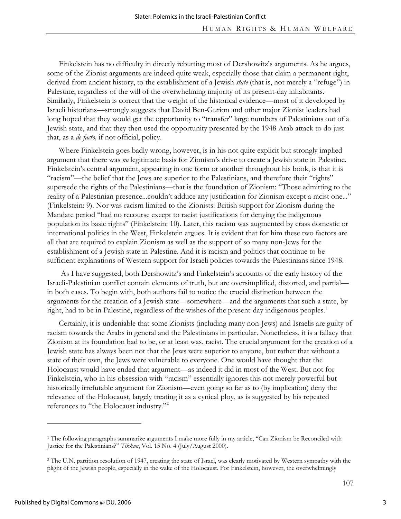Finkelstein has no difficulty in directly rebutting most of Dershowitz's arguments. As he argues, some of the Zionist arguments are indeed quite weak, especially those that claim a permanent right, derived from ancient history, to the establishment of a Jewish *state* (that is, not merely a "refuge") in Palestine, regardless of the will of the overwhelming majority of its present-day inhabitants. Similarly, Finkelstein is correct that the weight of the historical evidence—most of it developed by Israeli historians—strongly suggests that David Ben-Gurion and other major Zionist leaders had long hoped that they would get the opportunity to "transfer" large numbers of Palestinians out of a Jewish state, and that they then used the opportunity presented by the 1948 Arab attack to do just that, as a *de facto,* if not official, policy.

Where Finkelstein goes badly wrong, however, is in his not quite explicit but strongly implied argument that there was *no* legitimate basis for Zionism's drive to create a Jewish state in Palestine. Finkelstein's central argument, appearing in one form or another throughout his book, is that it is "racism"—the belief that the Jews are superior to the Palestinians, and therefore their "rights" supersede the rights of the Palestinians—that is the foundation of Zionism: "Those admitting to the reality of a Palestinian presence...couldn't adduce any justification for Zionism except a racist one..." (Finkelstein: 9). Nor was racism limited to the Zionists: British support for Zionism during the Mandate period "had no recourse except to racist justifications for denying the indigenous population its basic rights" (Finkelstein: 10). Later, this racism was augmented by crass domestic or international politics in the West, Finkelstein argues. It is evident that for him these two factors are all that are required to explain Zionism as well as the support of so many non-Jews for the establishment of a Jewish state in Palestine. And it is racism and politics that continue to be sufficient explanations of Western support for Israeli policies towards the Palestinians since 1948.

 As I have suggested, both Dershowitz's and Finkelstein's accounts of the early history of the Israeli-Palestinian conflict contain elements of truth, but are oversimplified, distorted, and partial in both cases. To begin with, both authors fail to notice the crucial distinction between the arguments for the creation of a Jewish state—somewhere—and the arguments that such a state, by right, had to be in Palestine, regardless of the wishes of the present-day indigenous peoples.<sup>1</sup>

Certainly, it is undeniable that some Zionists (including many non-Jews) and Israelis are guilty of racism towards the Arabs in general and the Palestinians in particular. Nonetheless, it is a fallacy that Zionism at its foundation had to be, or at least was, racist. The crucial argument for the creation of a Jewish state has always been not that the Jews were superior to anyone, but rather that without a state of their own, the Jews were vulnerable to everyone. One would have thought that the Holocaust would have ended that argument—as indeed it did in most of the West. But not for Finkelstein, who in his obsession with "racism" essentially ignores this not merely powerful but historically irrefutable argument for Zionism—even going so far as to (by implication) deny the relevance of the Holocaust, largely treating it as a cynical ploy, as is suggested by his repeated references to "the Holocaust industry."2

<sup>1</sup> The following paragraphs summarize arguments I make more fully in my article, "Can Zionism be Reconciled with Justice for the Palestinians?" *Tikkun*, Vol. 15 No. 4 (July/August 2000).

<sup>&</sup>lt;sup>2</sup> The U.N. partition resolution of 1947, creating the state of Israel, was clearly motivated by Western sympathy with the plight of the Jewish people, especially in the wake of the Holocaust. For Finkelstein, however, the overwhelmingly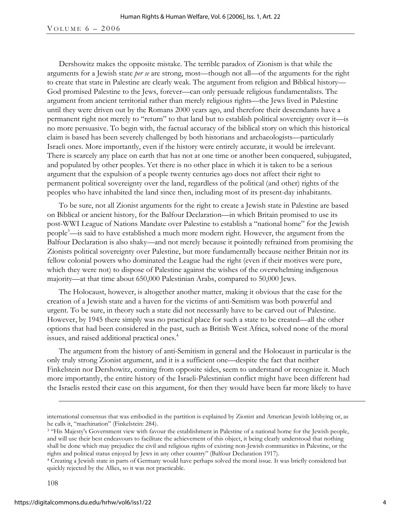#### VOLUME  $6 - 2006$

Dershowitz makes the opposite mistake. The terrible paradox of Zionism is that while the arguments for a Jewish state *per se* are strong, most—though not all—of the arguments for the right to create that state in Palestine are clearly weak. The argument from religion and Biblical history— God promised Palestine to the Jews, forever—can only persuade religious fundamentalists. The argument from ancient territorial rather than merely religious rights—the Jews lived in Palestine until they were driven out by the Romans 2000 years ago, and therefore their descendants have a permanent right not merely to "return" to that land but to establish political sovereignty over it—is no more persuasive. To begin with, the factual accuracy of the biblical story on which this historical claim is based has been severely challenged by both historians and archaeologists—particularly Israeli ones. More importantly, even if the history were entirely accurate, it would be irrelevant. There is scarcely any place on earth that has not at one time or another been conquered, subjugated, and populated by other peoples. Yet there is no other place in which it is taken to be a serious argument that the expulsion of a people twenty centuries ago does not affect their right to permanent political sovereignty over the land, regardless of the political (and other) rights of the peoples who have inhabited the land since then, including most of its present-day inhabitants.

To be sure, not all Zionist arguments for the right to create a Jewish state in Palestine are based on Biblical or ancient history, for the Balfour Declaration—in which Britain promised to use its post-WWI League of Nations Mandate over Palestine to establish a "national home" for the Jewish people<sup>3</sup>—is said to have established a much more modern right. However, the argument from the Balfour Declaration is also shaky—and not merely because it pointedly refrained from promising the Zionists political sovereignty over Palestine, but more fundamentally because neither Britain nor its fellow colonial powers who dominated the League had the right (even if their motives were pure, which they were not) to dispose of Palestine against the wishes of the overwhelming indigenous majority—at that time about 650,000 Palestinian Arabs, compared to 50,000 Jews.

The Holocaust, however, is altogether another matter, making it obvious that the case for the creation of a Jewish state and a haven for the victims of anti-Semitism was both powerful and urgent. To be sure, in theory such a state did not necessarily have to be carved out of Palestine. However, by 1945 there simply was no practical place for such a state to be created—all the other options that had been considered in the past, such as British West Africa, solved none of the moral issues, and raised additional practical ones.<sup>4</sup>

The argument from the history of anti-Semitism in general and the Holocaust in particular is the only truly strong Zionist argument, and it is a sufficient one—despite the fact that neither Finkelstein nor Dershowitz, coming from opposite sides, seem to understand or recognize it. Much more importantly, the entire history of the Israeli-Palestinian conflict might have been different had the Israelis rested their case on this argument, for then they would have been far more likely to have

international consensus that was embodied in the partition is explained by Zionist and American Jewish lobbying or, as he calls it, "machination" (Finkelstein: 284).

<sup>&</sup>lt;sup>3</sup> "His Majesty's Government view with favour the establishment in Palestine of a national home for the Jewish people, and will use their best endeavours to facilitate the achievement of this object, it being clearly understood that nothing shall be done which may prejudice the civil and religious rights of existing non-Jewish communities in Palestine, or the

rights and political status enjoyed by Jews in any other country" (Balfour Declaration 1917). 4 Creating a Jewish state in parts of Germany would have perhaps solved the moral issue. It was briefly considered but quickly rejected by the Allies, so it was not practicable.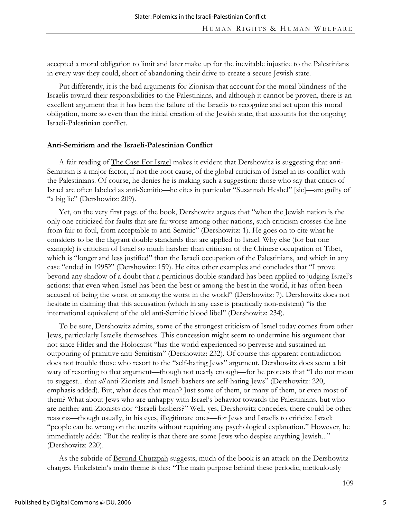accepted a moral obligation to limit and later make up for the inevitable injustice to the Palestinians in every way they could, short of abandoning their drive to create a secure Jewish state.

Put differently, it is the bad arguments for Zionism that account for the moral blindness of the Israelis toward their responsibilities to the Palestinians, and although it cannot be proven, there is an excellent argument that it has been the failure of the Israelis to recognize and act upon this moral obligation, more so even than the initial creation of the Jewish state, that accounts for the ongoing Israeli-Palestinian conflict.

#### **Anti-Semitism and the Israeli-Palestinian Conflict**

A fair reading of The Case For Israel makes it evident that Dershowitz is suggesting that anti-Semitism is a major factor, if not the root cause, of the global criticism of Israel in its conflict with the Palestinians. Of course, he denies he is making such a suggestion: those who say that critics of Israel are often labeled as anti-Semitic—he cites in particular "Susannah Heshel" [sic]—are guilty of "a big lie" (Dershowitz: 209).

Yet, on the very first page of the book, Dershowitz argues that "when the Jewish nation is the only one criticized for faults that are far worse among other nations, such criticism crosses the line from fair to foul, from acceptable to anti-Semitic" (Dershowitz: 1). He goes on to cite what he considers to be the flagrant double standards that are applied to Israel. Why else (for but one example) is criticism of Israel so much harsher than criticism of the Chinese occupation of Tibet, which is "longer and less justified" than the Israeli occupation of the Palestinians, and which in any case "ended in 1995?" (Dershowitz: 159). He cites other examples and concludes that "I prove beyond any shadow of a doubt that a pernicious double standard has been applied to judging Israel's actions: that even when Israel has been the best or among the best in the world, it has often been accused of being the worst or among the worst in the world" (Dershowitz: 7). Dershowitz does not hesitate in claiming that this accusation (which in any case is practically non-existent) "is the international equivalent of the old anti-Semitic blood libel" (Dershowitz: 234).

To be sure, Dershowitz admits, some of the strongest criticism of Israel today comes from other Jews, particularly Israelis themselves. This concession might seem to undermine his argument that not since Hitler and the Holocaust "has the world experienced so perverse and sustained an outpouring of primitive anti-Semitism" (Dershowitz: 232). Of course this apparent contradiction does not trouble those who resort to the "self-hating Jews" argument. Dershowitz does seem a bit wary of resorting to that argument—though not nearly enough—for he protests that "I do not mean to suggest... that *all* anti-Zionists and Israeli-bashers are self-hating Jews" (Dershowitz: 220, emphasis added). But, what does that mean? Just some of them, or many of them, or even most of them? What about Jews who are unhappy with Israel's behavior towards the Palestinians, but who are neither anti-Zionists nor "Israeli-bashers?" Well, yes, Dershowitz concedes, there could be other reasons—though usually, in his eyes, illegitimate ones—for Jews and Israelis to criticize Israel: "people can be wrong on the merits without requiring any psychological explanation." However, he immediately adds: "But the reality is that there are some Jews who despise anything Jewish..." (Dershowitz: 220).

As the subtitle of <u>Beyond Chutzpah</u> suggests, much of the book is an attack on the Dershowitz charges. Finkelstein's main theme is this: "The main purpose behind these periodic, meticulously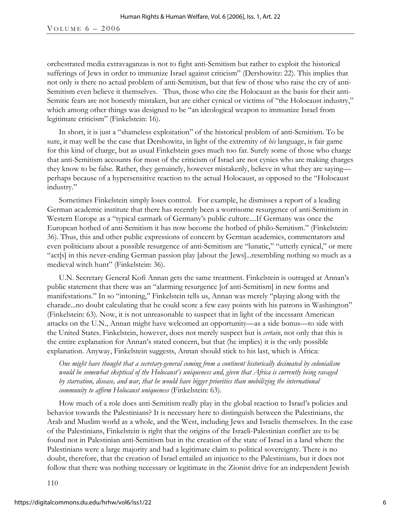orchestrated media extravaganzas is not to fight anti-Semitism but rather to exploit the historical sufferings of Jews in order to immunize Israel against criticism" (Dershowitz: 22). This implies that not only is there no actual problem of anti-Semitism, but that few of those who raise the cry of anti-Semitism even believe it themselves. Thus, those who cite the Holocaust as the basis for their anti-Semitic fears are not honestly mistaken, but are either cynical or victims of "the Holocaust industry," which among other things was designed to be "an ideological weapon to immunize Israel from legitimate criticism" (Finkelstein: 16).

In short, it is just a "shameless exploitation" of the historical problem of anti-Semitism. To be sure, it may well be the case that Dershowitz, in light of the extremity of *his* language, is fair game for this kind of charge, but as usual Finkelstein goes much too far. Surely some of those who charge that anti-Semitism accounts for most of the criticism of Israel are not cynics who are making charges they know to be false. Rather, they genuinely, however mistakenly, believe in what they are saying perhaps because of a hypersensitive reaction to the actual Holocaust, as opposed to the "Holocaust industry."

Sometimes Finkelstein simply loses control. For example, he dismisses a report of a leading German academic institute that there has recently been a worrisome resurgence of anti-Semitism in Western Europe as a "typical earmark of Germany's public culture....If Germany was once the European hotbed of anti-Semitism it has now become the hotbed of philo-Semitism." (Finkelstein: 36). Thus, this and other public expressions of concern by German academics, commentators and even politicians about a possible resurgence of anti-Semitism are "lunatic," "utterly cynical," or mere "act[s] in this never-ending German passion play [about the Jews]...resembling nothing so much as a medieval witch hunt" (Finkelstein: 36).

U.N. Secretary General Kofi Annan gets the same treatment. Finkelstein is outraged at Annan's public statement that there was an "alarming resurgence [of anti-Semitism] in new forms and manifestations." In so "intoning," Finkelstein tells us, Annan was merely "playing along with the charade...no doubt calculating that he could score a few easy points with his patrons in Washington" (Finkelstein: 63). Now, it is not unreasonable to suspect that in light of the incessant American attacks on the U.N., Annan might have welcomed an opportunity—as a side bonus—to side with the United States. Finkelstein, however, does not merely suspect but is *certain*, not only that this is the entire explanation for Annan's stated concern, but that (he implies) it is the only possible explanation. Anyway, Finkelstein suggests, Annan should stick to his last, which is Africa:

*One might have thought that a secretary-general coming from a continent historically decimated by colonialism would be somewhat skeptical of the Holocaust's uniqueness and, given that Africa is currently being ravaged by starvation, disease, and war, that he would have bigger priorities than mobilizing the international community to affirm Holocaust uniqueness* (Finkelstein: 63).

How much of a role does anti-Semitism really play in the global reaction to Israel's policies and behavior towards the Palestinians? It is necessary here to distinguish between the Palestinians, the Arab and Muslim world as a whole, and the West, including Jews and Israelis themselves. In the case of the Palestinians, Finkelstein is right that the origins of the Israeli-Palestinian conflict are to be found not in Palestinian anti-Semitism but in the creation of the state of Israel in a land where the Palestinians were a large majority and had a legitimate claim to political sovereignty. There is no doubt, therefore, that the creation of Israel entailed an injustice to the Palestinians, but it does not follow that there was nothing necessary or legitimate in the Zionist drive for an independent Jewish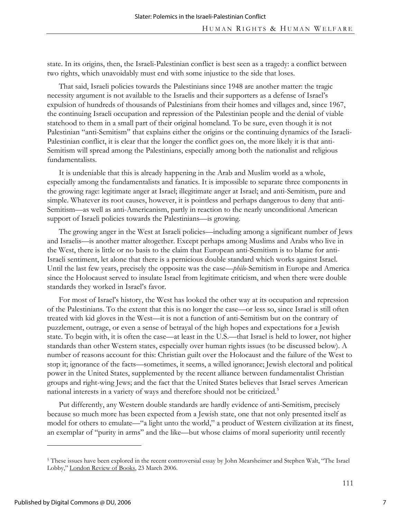state. In its origins, then, the Israeli-Palestinian conflict is best seen as a tragedy: a conflict between two rights, which unavoidably must end with some injustice to the side that loses.

That said, Israeli policies towards the Palestinians since 1948 are another matter: the tragic necessity argument is not available to the Israelis and their supporters as a defense of Israel's expulsion of hundreds of thousands of Palestinians from their homes and villages and, since 1967, the continuing Israeli occupation and repression of the Palestinian people and the denial of viable statehood to them in a small part of their original homeland. To be sure, even though it is not Palestinian "anti-Semitism" that explains either the origins or the continuing dynamics of the Israeli-Palestinian conflict, it is clear that the longer the conflict goes on, the more likely it is that anti-Semitism will spread among the Palestinians, especially among both the nationalist and religious fundamentalists.

It is undeniable that this is already happening in the Arab and Muslim world as a whole, especially among the fundamentalists and fanatics. It is impossible to separate three components in the growing rage: legitimate anger at Israel; illegitimate anger at Israel; and anti-Semitism, pure and simple. Whatever its root causes, however, it is pointless and perhaps dangerous to deny that anti-Semitism—as well as anti-Americanism, partly in reaction to the nearly unconditional American support of Israeli policies towards the Palestinians—is growing.

The growing anger in the West at Israeli policies—including among a significant number of Jews and Israelis—is another matter altogether. Except perhaps among Muslims and Arabs who live in the West, there is little or no basis to the claim that European anti-Semitism is to blame for anti-Israeli sentiment, let alone that there is a pernicious double standard which works against Israel. Until the last few years, precisely the opposite was the case—*philo*-Semitism in Europe and America since the Holocaust served to insulate Israel from legitimate criticism, and when there were double standards they worked in Israel's favor.

For most of Israel's history, the West has looked the other way at its occupation and repression of the Palestinians. To the extent that this is no longer the case—or less so, since Israel is still often treated with kid gloves in the West—it is not a function of anti-Semitism but on the contrary of puzzlement, outrage, or even a sense of betrayal of the high hopes and expectations for a Jewish state. To begin with, it is often the case—at least in the U.S.—that Israel is held to lower, not higher standards than other Western states, especially over human rights issues (to be discussed below). A number of reasons account for this: Christian guilt over the Holocaust and the failure of the West to stop it; ignorance of the facts—sometimes, it seems, a willed ignorance; Jewish electoral and political power in the United States, supplemented by the recent alliance between fundamentalist Christian groups and right-wing Jews; and the fact that the United States believes that Israel serves American national interests in a variety of ways and therefore should not be criticized.<sup>5</sup>

Put differently, any Western double standards are hardly evidence of anti-Semitism, precisely because so much more has been expected from a Jewish state, one that not only presented itself as model for others to emulate—"a light unto the world," a product of Western civilization at its finest, an exemplar of "purity in arms" and the like—but whose claims of moral superiority until recently

<sup>5</sup> These issues have been explored in the recent controversial essay by John Mearsheimer and Stephen Walt, "The Israel Lobby," London Review of Books, 23 March 2006.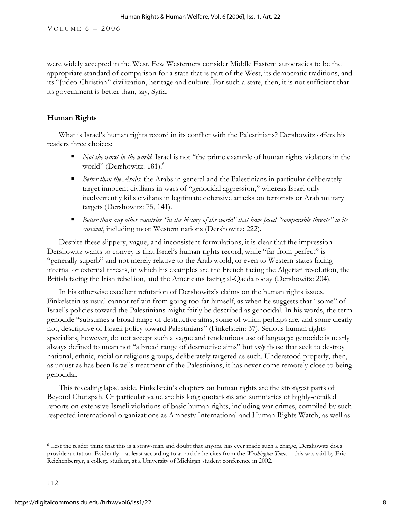were widely accepted in the West. Few Westerners consider Middle Eastern autocracies to be the appropriate standard of comparison for a state that is part of the West, its democratic traditions, and its "Judeo-Christian" civilization, heritage and culture. For such a state, then, it is not sufficient that its government is better than, say, Syria.

## **Human Rights**

What is Israel's human rights record in its conflict with the Palestinians? Dershowitz offers his readers three choices:

- *Not the worst in the world*: Israel is not "the prime example of human rights violators in the world" (Dershowitz: 181).<sup>6</sup>
- *Better than the Arabs*: the Arabs in general and the Palestinians in particular deliberately target innocent civilians in wars of "genocidal aggression," whereas Israel only inadvertently kills civilians in legitimate defensive attacks on terrorists or Arab military targets (Dershowitz: 75, 141).
- *Better than any other countries "in the history of the world" that have faced "comparable threats" to its survival*, including most Western nations (Dershowitz: 222).

Despite these slippery, vague, and inconsistent formulations, it is clear that the impression Dershowitz wants to convey is that Israel's human rights record, while "far from perfect" is "generally superb" and not merely relative to the Arab world, or even to Western states facing internal or external threats, in which his examples are the French facing the Algerian revolution, the British facing the Irish rebellion, and the Americans facing al-Qaeda today (Dershowitz: 204).

In his otherwise excellent refutation of Dershowitz's claims on the human rights issues, Finkelstein as usual cannot refrain from going too far himself, as when he suggests that "some" of Israel's policies toward the Palestinians might fairly be described as genocidal. In his words, the term genocide "subsumes a broad range of destructive aims, some of which perhaps are, and some clearly not, descriptive of Israeli policy toward Palestinians" (Finkelstein: 37). Serious human rights specialists, however, do not accept such a vague and tendentious use of language: genocide is nearly always defined to mean not "a broad range of destructive aims" but *only* those that seek to destroy national, ethnic, racial or religious groups, deliberately targeted as such. Understood properly, then, as unjust as has been Israel's treatment of the Palestinians, it has never come remotely close to being genocidal.

This revealing lapse aside, Finkelstein's chapters on human rights are the strongest parts of Beyond Chutzpah. Of particular value are his long quotations and summaries of highly-detailed reports on extensive Israeli violations of basic human rights, including war crimes, compiled by such respected international organizations as Amnesty International and Human Rights Watch, as well as

<sup>6</sup> Lest the reader think that this is a straw-man and doubt that anyone has ever made such a charge, Dershowitz does provide a citation. Evidently—at least according to an article he cites from the *Washington Times*—this was said by Eric Reichenberger, a college student, at a University of Michigan student conference in 2002.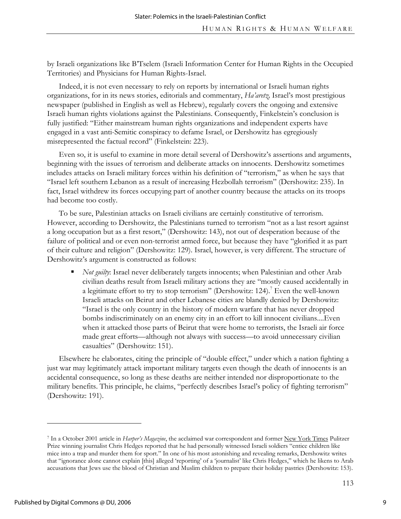by Israeli organizations like B'Tselem (Israeli Information Center for Human Rights in the Occupied Territories) and Physicians for Human Rights-Israel.

Indeed, it is not even necessary to rely on reports by international or Israeli human rights organizations, for in its news stories, editorials and commentary, *Ha'aretz,* Israel's most prestigious newspaper (published in English as well as Hebrew), regularly covers the ongoing and extensive Israeli human rights violations against the Palestinians. Consequently, Finkelstein's conclusion is fully justified: "Either mainstream human rights organizations and independent experts have engaged in a vast anti-Semitic conspiracy to defame Israel, or Dershowitz has egregiously misrepresented the factual record" (Finkelstein: 223).

Even so, it is useful to examine in more detail several of Dershowitz's assertions and arguments, beginning with the issues of terrorism and deliberate attacks on innocents. Dershowitz sometimes includes attacks on Israeli military forces within his definition of "terrorism," as when he says that "Israel left southern Lebanon as a result of increasing Hezbollah terrorism" (Dershowitz: 235). In fact, Israel withdrew its forces occupying part of another country because the attacks on its troops had become too costly.

To be sure, Palestinian attacks on Israeli civilians are certainly constitutive of terrorism. However, according to Dershowitz, the Palestinians turned to terrorism "not as a last resort against a long occupation but as a first resort," (Dershowitz: 143), not out of desperation because of the failure of political and or even non-terrorist armed force, but because they have "glorified it as part of their culture and religion" (Dershowitz: 129). Israel, however, is very different. The structure of Dershowitz's argument is constructed as follows:

**Not guilty:** Israel never deliberately targets innocents; when Palestinian and other Arab civilian deaths result from Israeli military actions they are "mostly caused accidentally in a legitimate effort to try to stop terrorism" (Dershowitz: 124).<sup>7</sup> Even the well-known Israeli attacks on Beirut and other Lebanese cities are blandly denied by Dershowitz: "Israel is the only country in the history of modern warfare that has never dropped bombs indiscriminately on an enemy city in an effort to kill innocent civilians....Even when it attacked those parts of Beirut that were home to terrorists, the Israeli air force made great efforts—although not always with success—to avoid unnecessary civilian casualties" (Dershowitz: 151).

Elsewhere he elaborates, citing the principle of "double effect," under which a nation fighting a just war may legitimately attack important military targets even though the death of innocents is an accidental consequence, so long as these deaths are neither intended nor disproportionate to the military benefits. This principle, he claims, "perfectly describes Israel's policy of fighting terrorism" (Dershowitz: 191).

<sup>7</sup> In a October 2001 article in *Harper's Magazine*, the acclaimed war correspondent and former New York Times Pulitzer Prize winning journalist Chris Hedges reported that he had personally witnessed Israeli soldiers "entice children like mice into a trap and murder them for sport." In one of his most astonishing and revealing remarks, Dershowitz writes that "ignorance alone cannot explain [this] alleged 'reporting' of a 'journalist' like Chris Hedges," which he likens to Arab accusations that Jews use the blood of Christian and Muslim children to prepare their holiday pastries (Dershowitz: 153).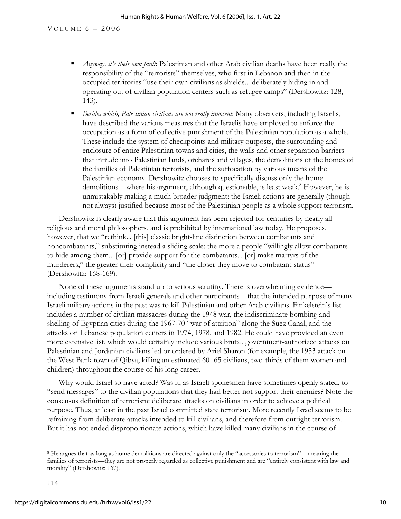- *Anyway, it's their own fault*: Palestinian and other Arab civilian deaths have been really the responsibility of the "terrorists" themselves, who first in Lebanon and then in the occupied territories "use their own civilians as shields... deliberately hiding in and operating out of civilian population centers such as refugee camps" (Dershowitz: 128, 143).
- *Besides which, Palestinian civilians are not really innocent*: Many observers, including Israelis, have described the various measures that the Israelis have employed to enforce the occupation as a form of collective punishment of the Palestinian population as a whole. These include the system of checkpoints and military outposts, the surrounding and enclosure of entire Palestinian towns and cities, the walls and other separation barriers that intrude into Palestinian lands, orchards and villages, the demolitions of the homes of the families of Palestinian terrorists, and the suffocation by various means of the Palestinian economy. Dershowitz chooses to specifically discuss only the home demolitions—where his argument, although questionable, is least weak.<sup>8</sup> However, he is unmistakably making a much broader judgment: the Israeli actions are generally (though not always) justified because most of the Palestinian people as a whole support terrorism.

Dershowitz is clearly aware that this argument has been rejected for centuries by nearly all religious and moral philosophers, and is prohibited by international law today. He proposes, however, that we "rethink... [this] classic bright-line distinction between combatants and noncombatants," substituting instead a sliding scale: the more a people "willingly allow combatants to hide among them... [or] provide support for the combatants... [or] make martyrs of the murderers," the greater their complicity and "the closer they move to combatant status" (Dershowitz: 168-169).

None of these arguments stand up to serious scrutiny. There is overwhelming evidence including testimony from Israeli generals and other participants—that the intended purpose of many Israeli military actions in the past was to kill Palestinian and other Arab civilians. Finkelstein's list includes a number of civilian massacres during the 1948 war, the indiscriminate bombing and shelling of Egyptian cities during the 1967-70 "war of attrition" along the Suez Canal, and the attacks on Lebanese population centers in 1974, 1978, and 1982. He could have provided an even more extensive list, which would certainly include various brutal, government-authorized attacks on Palestinian and Jordanian civilians led or ordered by Ariel Sharon (for example, the 1953 attack on the West Bank town of Qibya, killing an estimated 60 -65 civilians, two-thirds of them women and children) throughout the course of his long career.

Why would Israel so have acted? Was it, as Israeli spokesmen have sometimes openly stated, to "send messages" to the civilian populations that they had better not support their enemies? Note the consensus definition of terrorism: deliberate attacks on civilians in order to achieve a political purpose. Thus, at least in the past Israel committed state terrorism. More recently Israel seems to be refraining from deliberate attacks intended to kill civilians, and therefore from outright terrorism. But it has not ended disproportionate actions, which have killed many civilians in the course of

-

<sup>8</sup> He argues that as long as home demolitions are directed against only the "accessories to terrorism"—meaning the families of terrorists—they are not properly regarded as collective punishment and are "entirely consistent with law and morality" (Dershowitz: 167).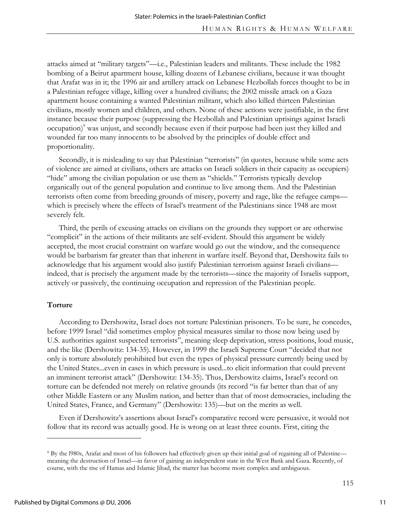attacks aimed at "military targets"—i.e., Palestinian leaders and militants. These include the 1982 bombing of a Beirut apartment house, killing dozens of Lebanese civilians, because it was thought that Arafat was in it; the 1996 air and artillery attack on Lebanese Hezbollah forces thought to be in a Palestinian refugee village, killing over a hundred civilians; the 2002 missile attack on a Gaza apartment house containing a wanted Palestinian militant, which also killed thirteen Palestinian civilians, mostly women and children, and others. None of these actions were justifiable, in the first instance because their purpose (suppressing the Hezbollah and Palestinian uprisings against Israeli occupation)<sup>9</sup> was unjust, and secondly because even if their purpose had been just they killed and wounded far too many innocents to be absolved by the principles of double effect and proportionality.

Secondly, it is misleading to say that Palestinian "terrorists" (in quotes, because while some acts of violence are aimed at civilians, others are attacks on Israeli soldiers in their capacity as occupiers) "hide" among the civilian population or use them as "shields." Terrorists typically develop organically out of the general population and continue to live among them. And the Palestinian terrorists often come from breeding grounds of misery, poverty and rage, like the refugee camps which is precisely where the effects of Israel's treatment of the Palestinians since 1948 are most severely felt.

Third, the perils of excusing attacks on civilians on the grounds they support or are otherwise "complicit" in the actions of their militants are self-evident. Should this argument be widely accepted, the most crucial constraint on warfare would go out the window, and the consequence would be barbarism far greater than that inherent in warfare itself. Beyond that, Dershowitz fails to acknowledge that his argument would also justify Palestinian terrorism against Israeli civilians indeed, that is precisely the argument made by the terrorists—since the majority of Israelis support, actively or passively, the continuing occupation and repression of the Palestinian people.

#### **Torture**

According to Dershowitz, Israel does not torture Palestinian prisoners. To be sure, he concedes, before 1999 Israel "did sometimes employ physical measures similar to those now being used by U.S. authorities against suspected terrorists", meaning sleep deprivation, stress positions, loud music, and the like (Dershowitz: 134-35). However, in 1999 the Israeli Supreme Court "decided that not only is torture absolutely prohibited but even the types of physical pressure currently being used by the United States...even in cases in which pressure is used...to elicit information that could prevent an imminent terrorist attack" (Dershowitz: 134-35). Thus, Dershowitz claims, Israel's record on torture can be defended not merely on relative grounds (its record "is far better than that of any other Middle Eastern or any Muslim nation, and better than that of most democracies, including the United States, France, and Germany" (Dershowitz: 135)—but on the merits as well.

Even if Dershowitz's assertions about Israel's comparative record were persuasive, it would not follow that its record was actually good. He is wrong on at least three counts. First, citing the

-

<sup>9</sup> By the l980s, Arafat and most of his followers had effectively given up their initial goal of regaining all of Palestine meaning the destruction of Israel—in favor of gaining an independent state in the West Bank and Gaza. Recently, of course, with the rise of Hamas and Islamic Jihad, the matter has become more complex and ambiguous.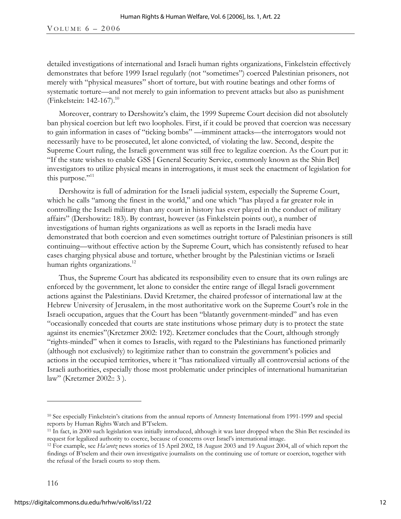VOLUME  $6 - 2006$ 

detailed investigations of international and Israeli human rights organizations, Finkelstein effectively demonstrates that before 1999 Israel regularly (not "sometimes") coerced Palestinian prisoners, not merely with "physical measures" short of torture, but with routine beatings and other forms of systematic torture—and not merely to gain information to prevent attacks but also as punishment (Finkelstein: 142-167).<sup>10</sup>

Moreover, contrary to Dershowitz's claim, the 1999 Supreme Court decision did not absolutely ban physical coercion but left two loopholes. First, if it could be proved that coercion was necessary to gain information in cases of "ticking bombs" —imminent attacks—the interrogators would not necessarily have to be prosecuted, let alone convicted, of violating the law. Second, despite the Supreme Court ruling, the Israeli government was still free to legalize coercion. As the Court put it: "If the state wishes to enable GSS [ General Security Service, commonly known as the Shin Bet] investigators to utilize physical means in interrogations, it must seek the enactment of legislation for this purpose."<sup>11</sup>

Dershowitz is full of admiration for the Israeli judicial system, especially the Supreme Court, which he calls "among the finest in the world," and one which "has played a far greater role in controlling the Israeli military than any court in history has ever played in the conduct of military affairs" (Dershowitz: 183). By contrast, however (as Finkelstein points out), a number of investigations of human rights organizations as well as reports in the Israeli media have demonstrated that both coercion and even sometimes outright torture of Palestinian prisoners is still continuing—without effective action by the Supreme Court, which has consistently refused to hear cases charging physical abuse and torture, whether brought by the Palestinian victims or Israeli human rights organizations.<sup>12</sup>

Thus, the Supreme Court has abdicated its responsibility even to ensure that its own rulings are enforced by the government, let alone to consider the entire range of illegal Israeli government actions against the Palestinians. David Kretzmer, the chaired professor of international law at the Hebrew University of Jerusalem, in the most authoritative work on the Supreme Court's role in the Israeli occupation, argues that the Court has been "blatantly government-minded" and has even "occasionally conceded that courts are state institutions whose primary duty is to protect the state against its enemies"(Kretzmer 2002: 192). Kretzmer concludes that the Court, although strongly "rights-minded" when it comes to Israelis, with regard to the Palestinians has functioned primarily (although not exclusively) to legitimize rather than to constrain the government's policies and actions in the occupied territories, where it "has rationalized virtually all controversial actions of the Israeli authorities, especially those most problematic under principles of international humanitarian law" (Kretzmer 2002:: 3 ).

<sup>10</sup> See especially Finkelstein's citations from the annual reports of Amnesty International from 1991-1999 and special

reports by Human Rights Watch and B'Tselem.<br><sup>11</sup> In fact, in 2000 such legislation was initially introduced, although it was later dropped when the Shin Bet rescinded its request for legalized authority to coerce, because of concerns over Israel's international image.

<sup>12</sup> For example, see *Ha'aretz* news stories of 15 April 2002, 18 August 2003 and 19 August 2004, all of which report the findings of B'tselem and their own investigative journalists on the continuing use of torture or coercion, together with the refusal of the Israeli courts to stop them.